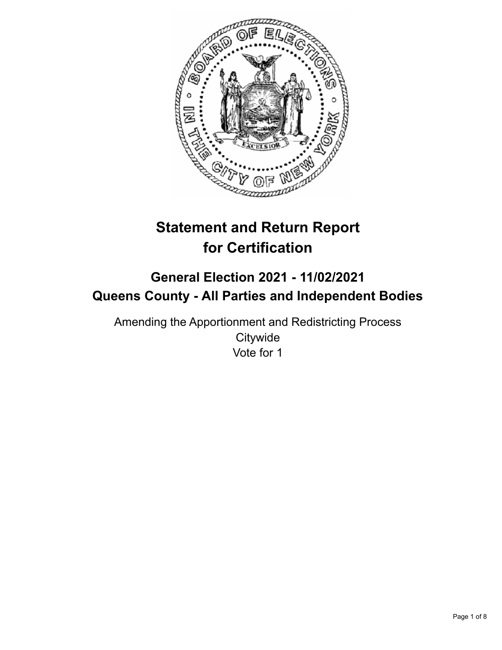

# **Statement and Return Report for Certification**

## **General Election 2021 - 11/02/2021 Queens County - All Parties and Independent Bodies**

Amending the Apportionment and Redistricting Process **Citywide** Vote for 1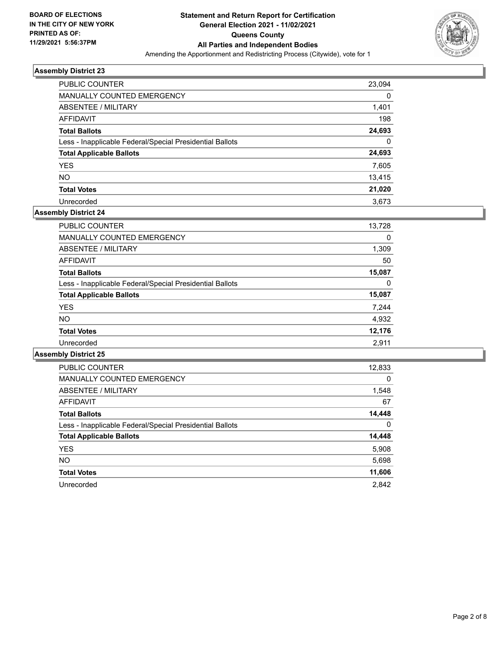

| <b>PUBLIC COUNTER</b>                                    | 23,094   |
|----------------------------------------------------------|----------|
| <b>MANUALLY COUNTED EMERGENCY</b>                        | 0        |
| ABSENTEE / MILITARY                                      | 1,401    |
| <b>AFFIDAVIT</b>                                         | 198      |
| <b>Total Ballots</b>                                     | 24,693   |
| Less - Inapplicable Federal/Special Presidential Ballots | $\Omega$ |
| <b>Total Applicable Ballots</b>                          | 24,693   |
| <b>YES</b>                                               | 7,605    |
| <b>NO</b>                                                | 13,415   |
| <b>Total Votes</b>                                       | 21,020   |
| Unrecorded                                               | 3.673    |

## **Assembly District 24**

| <b>PUBLIC COUNTER</b>                                    | 13,728 |
|----------------------------------------------------------|--------|
| <b>MANUALLY COUNTED EMERGENCY</b>                        | 0      |
| ABSENTEE / MILITARY                                      | 1,309  |
| AFFIDAVIT                                                | 50     |
| <b>Total Ballots</b>                                     | 15,087 |
| Less - Inapplicable Federal/Special Presidential Ballots | 0      |
| <b>Total Applicable Ballots</b>                          | 15,087 |
| <b>YES</b>                                               | 7,244  |
| <b>NO</b>                                                | 4,932  |
| <b>Total Votes</b>                                       | 12,176 |
| Unrecorded                                               | 2,911  |

| <b>PUBLIC COUNTER</b>                                    | 12,833   |
|----------------------------------------------------------|----------|
| <b>MANUALLY COUNTED EMERGENCY</b>                        | $\Omega$ |
| ABSENTEE / MILITARY                                      | 1,548    |
| <b>AFFIDAVIT</b>                                         | 67       |
| <b>Total Ballots</b>                                     | 14,448   |
| Less - Inapplicable Federal/Special Presidential Ballots | $\Omega$ |
| <b>Total Applicable Ballots</b>                          | 14,448   |
| <b>YES</b>                                               | 5,908    |
| <b>NO</b>                                                | 5,698    |
| <b>Total Votes</b>                                       | 11,606   |
| Unrecorded                                               | 2.842    |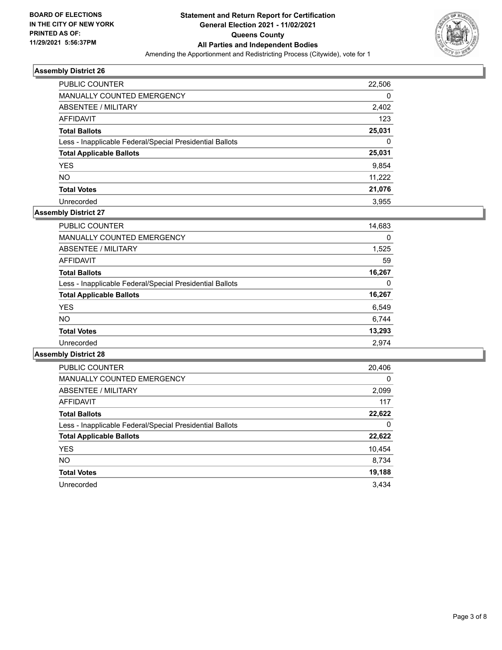

| <b>PUBLIC COUNTER</b>                                    | 22,506 |
|----------------------------------------------------------|--------|
| <b>MANUALLY COUNTED EMERGENCY</b>                        | 0      |
| ABSENTEE / MILITARY                                      | 2,402  |
| AFFIDAVIT                                                | 123    |
| <b>Total Ballots</b>                                     | 25,031 |
| Less - Inapplicable Federal/Special Presidential Ballots | 0      |
| <b>Total Applicable Ballots</b>                          | 25,031 |
| <b>YES</b>                                               | 9,854  |
| <b>NO</b>                                                | 11,222 |
| <b>Total Votes</b>                                       | 21,076 |
| Unrecorded                                               | 3.955  |

## **Assembly District 27**

| PUBLIC COUNTER                                           | 14,683 |
|----------------------------------------------------------|--------|
| <b>MANUALLY COUNTED EMERGENCY</b>                        | 0      |
| ABSENTEE / MILITARY                                      | 1,525  |
| AFFIDAVIT                                                | 59     |
| <b>Total Ballots</b>                                     | 16,267 |
| Less - Inapplicable Federal/Special Presidential Ballots | 0      |
| <b>Total Applicable Ballots</b>                          | 16,267 |
| <b>YES</b>                                               | 6,549  |
| NO.                                                      | 6,744  |
| <b>Total Votes</b>                                       | 13,293 |
| Unrecorded                                               | 2.974  |

| <b>PUBLIC COUNTER</b>                                    | 20,406   |
|----------------------------------------------------------|----------|
| <b>MANUALLY COUNTED EMERGENCY</b>                        | $\Omega$ |
| ABSENTEE / MILITARY                                      | 2,099    |
| <b>AFFIDAVIT</b>                                         | 117      |
| <b>Total Ballots</b>                                     | 22,622   |
| Less - Inapplicable Federal/Special Presidential Ballots | 0        |
| <b>Total Applicable Ballots</b>                          | 22,622   |
| <b>YES</b>                                               | 10,454   |
| <b>NO</b>                                                | 8,734    |
| <b>Total Votes</b>                                       | 19,188   |
| Unrecorded                                               | 3.434    |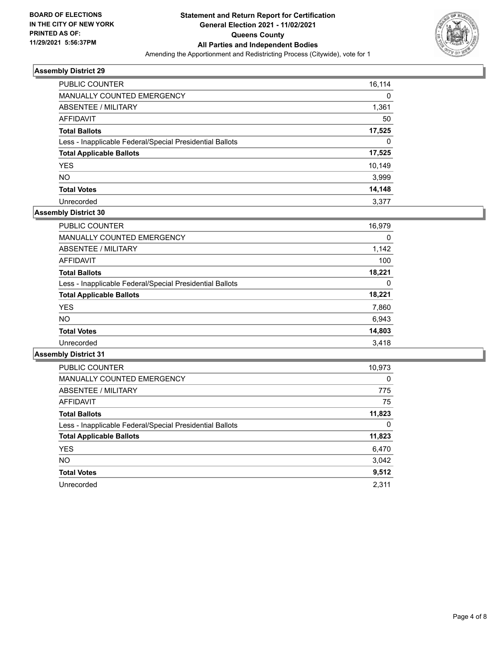

| <b>PUBLIC COUNTER</b>                                    | 16,114 |
|----------------------------------------------------------|--------|
| <b>MANUALLY COUNTED EMERGENCY</b>                        | 0      |
| ABSENTEE / MILITARY                                      | 1,361  |
| AFFIDAVIT                                                | 50     |
| <b>Total Ballots</b>                                     | 17,525 |
| Less - Inapplicable Federal/Special Presidential Ballots | 0      |
| <b>Total Applicable Ballots</b>                          | 17,525 |
| <b>YES</b>                                               | 10,149 |
| <b>NO</b>                                                | 3,999  |
| <b>Total Votes</b>                                       | 14,148 |
| Unrecorded                                               | 3.377  |

## **Assembly District 30**

| 16,979 |
|--------|
| 0      |
| 1,142  |
| 100    |
| 18.221 |
| 0      |
| 18,221 |
| 7,860  |
| 6,943  |
| 14,803 |
| 3.418  |
|        |

| <b>PUBLIC COUNTER</b>                                    | 10,973   |
|----------------------------------------------------------|----------|
| <b>MANUALLY COUNTED EMERGENCY</b>                        | $\Omega$ |
| ABSENTEE / MILITARY                                      | 775      |
| <b>AFFIDAVIT</b>                                         | 75       |
| <b>Total Ballots</b>                                     | 11,823   |
| Less - Inapplicable Federal/Special Presidential Ballots | 0        |
| <b>Total Applicable Ballots</b>                          | 11,823   |
| <b>YES</b>                                               | 6,470    |
| <b>NO</b>                                                | 3,042    |
| <b>Total Votes</b>                                       | 9,512    |
| Unrecorded                                               | 2.311    |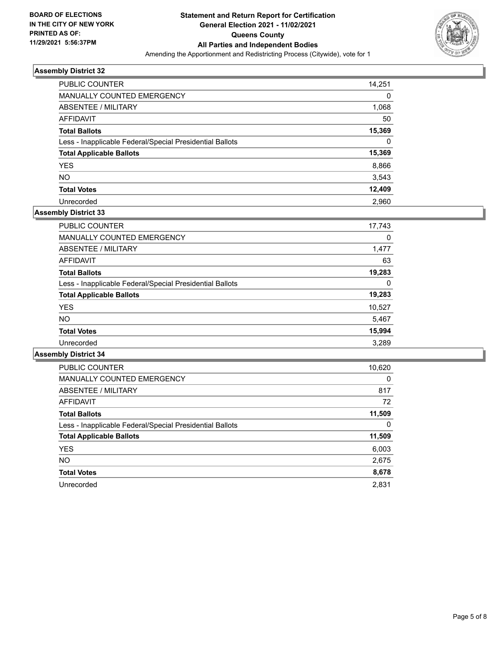

| <b>PUBLIC COUNTER</b>                                    | 14,251 |
|----------------------------------------------------------|--------|
| <b>MANUALLY COUNTED EMERGENCY</b>                        | 0      |
| ABSENTEE / MILITARY                                      | 1,068  |
| <b>AFFIDAVIT</b>                                         | 50     |
| <b>Total Ballots</b>                                     | 15,369 |
| Less - Inapplicable Federal/Special Presidential Ballots | 0      |
| <b>Total Applicable Ballots</b>                          | 15,369 |
| <b>YES</b>                                               | 8,866  |
| <b>NO</b>                                                | 3,543  |
| <b>Total Votes</b>                                       | 12,409 |
| Unrecorded                                               | 2.960  |

## **Assembly District 33**

| <b>PUBLIC COUNTER</b>                                    | 17,743 |
|----------------------------------------------------------|--------|
| <b>MANUALLY COUNTED EMERGENCY</b>                        | 0      |
| ABSENTEE / MILITARY                                      | 1,477  |
| AFFIDAVIT                                                | 63     |
| <b>Total Ballots</b>                                     | 19,283 |
| Less - Inapplicable Federal/Special Presidential Ballots | 0      |
| <b>Total Applicable Ballots</b>                          | 19,283 |
| <b>YES</b>                                               | 10,527 |
| NO.                                                      | 5,467  |
| <b>Total Votes</b>                                       | 15,994 |
| Unrecorded                                               | 3.289  |

| <b>PUBLIC COUNTER</b>                                    | 10,620   |
|----------------------------------------------------------|----------|
| <b>MANUALLY COUNTED EMERGENCY</b>                        | $\Omega$ |
| ABSENTEE / MILITARY                                      | 817      |
| AFFIDAVIT                                                | 72       |
| <b>Total Ballots</b>                                     | 11,509   |
| Less - Inapplicable Federal/Special Presidential Ballots | 0        |
| <b>Total Applicable Ballots</b>                          | 11,509   |
| <b>YES</b>                                               | 6,003    |
| NO.                                                      | 2,675    |
| <b>Total Votes</b>                                       | 8,678    |
| Unrecorded                                               | 2,831    |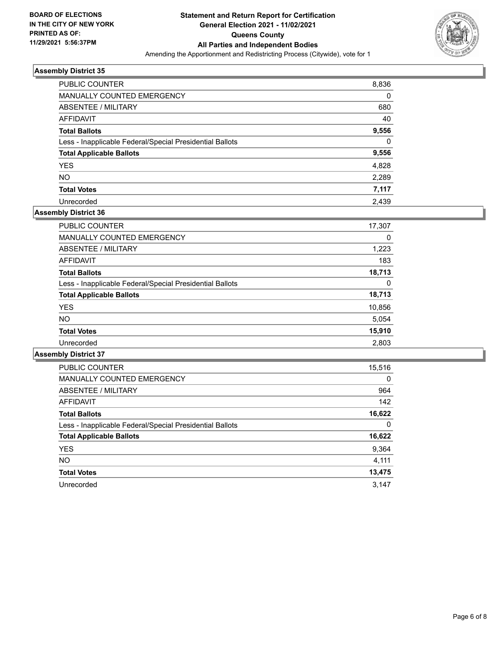

| <b>PUBLIC COUNTER</b>                                    | 8,836    |
|----------------------------------------------------------|----------|
| MANUALLY COUNTED EMERGENCY                               | 0        |
| ABSENTEE / MILITARY                                      | 680      |
| AFFIDAVIT                                                | 40       |
| <b>Total Ballots</b>                                     | 9,556    |
| Less - Inapplicable Federal/Special Presidential Ballots | $\Omega$ |
| <b>Total Applicable Ballots</b>                          | 9,556    |
| <b>YES</b>                                               | 4,828    |
| <b>NO</b>                                                | 2,289    |
| <b>Total Votes</b>                                       | 7,117    |
| Unrecorded                                               | 2.439    |

## **Assembly District 36**

| <b>PUBLIC COUNTER</b>                                    | 17,307 |
|----------------------------------------------------------|--------|
| <b>MANUALLY COUNTED EMERGENCY</b>                        | 0      |
| ABSENTEE / MILITARY                                      | 1,223  |
| AFFIDAVIT                                                | 183    |
| <b>Total Ballots</b>                                     | 18.713 |
| Less - Inapplicable Federal/Special Presidential Ballots | 0      |
| <b>Total Applicable Ballots</b>                          | 18,713 |
| <b>YES</b>                                               | 10,856 |
| <b>NO</b>                                                | 5,054  |
| <b>Total Votes</b>                                       | 15,910 |
| Unrecorded                                               | 2.803  |

| <b>PUBLIC COUNTER</b>                                    | 15,516   |
|----------------------------------------------------------|----------|
| MANUALLY COUNTED EMERGENCY                               | $\Omega$ |
| ABSENTEE / MILITARY                                      | 964      |
| AFFIDAVIT                                                | 142      |
| <b>Total Ballots</b>                                     | 16,622   |
| Less - Inapplicable Federal/Special Presidential Ballots | 0        |
| <b>Total Applicable Ballots</b>                          | 16,622   |
| <b>YES</b>                                               | 9,364    |
| <b>NO</b>                                                | 4,111    |
| <b>Total Votes</b>                                       | 13,475   |
| Unrecorded                                               | 3.147    |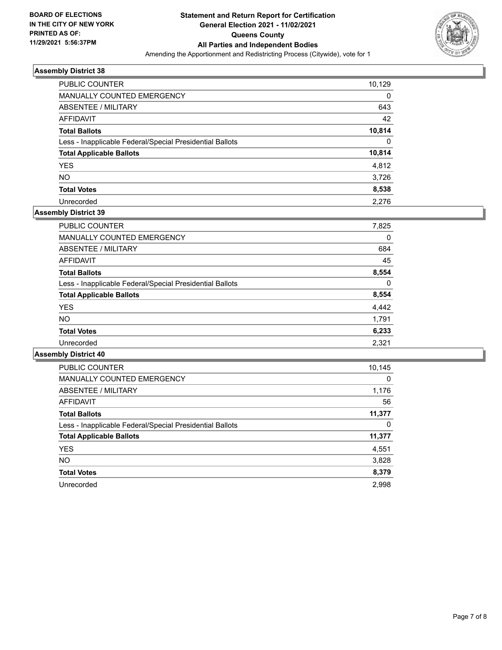

| PUBLIC COUNTER                                           | 10,129   |
|----------------------------------------------------------|----------|
| MANUALLY COUNTED EMERGENCY                               | $\Omega$ |
| ABSENTEE / MILITARY                                      | 643      |
| AFFIDAVIT                                                | 42       |
| <b>Total Ballots</b>                                     | 10,814   |
| Less - Inapplicable Federal/Special Presidential Ballots | $\Omega$ |
| <b>Total Applicable Ballots</b>                          | 10,814   |
| <b>YES</b>                                               | 4.812    |
| <b>NO</b>                                                | 3,726    |
| <b>Total Votes</b>                                       | 8,538    |
| Unrecorded                                               | 2.276    |

## **Assembly District 39**

| PUBLIC COUNTER                                           | 7,825    |
|----------------------------------------------------------|----------|
| <b>MANUALLY COUNTED EMERGENCY</b>                        | 0        |
| ABSENTEE / MILITARY                                      | 684      |
| AFFIDAVIT                                                | 45       |
| <b>Total Ballots</b>                                     | 8,554    |
| Less - Inapplicable Federal/Special Presidential Ballots | $\Omega$ |
| <b>Total Applicable Ballots</b>                          | 8,554    |
| <b>YES</b>                                               | 4,442    |
| <b>NO</b>                                                | 1.791    |
| <b>Total Votes</b>                                       | 6,233    |
| Unrecorded                                               | 2,321    |

| <b>PUBLIC COUNTER</b>                                    | 10,145 |
|----------------------------------------------------------|--------|
| <b>MANUALLY COUNTED EMERGENCY</b>                        | 0      |
| ABSENTEE / MILITARY                                      | 1,176  |
| <b>AFFIDAVIT</b>                                         | 56     |
| <b>Total Ballots</b>                                     | 11,377 |
| Less - Inapplicable Federal/Special Presidential Ballots | 0      |
| <b>Total Applicable Ballots</b>                          | 11,377 |
| <b>YES</b>                                               | 4,551  |
| <b>NO</b>                                                | 3,828  |
| <b>Total Votes</b>                                       | 8,379  |
| Unrecorded                                               | 2.998  |